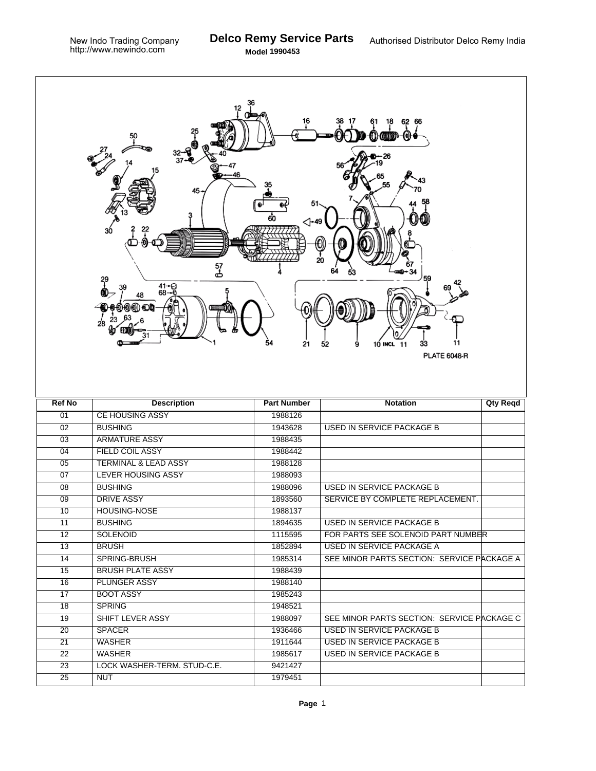٦

|                 | 62 66<br>18<br>50<br>45<br>60<br>⊲-49<br>20<br>57<br>ക<br>29<br>41-0<br>68--6<br>48<br>(@) ை <b>உம</b><br>28<br>54<br>21<br>11<br>10 INCL<br>11<br>33<br>52<br>9<br><b>PLATE 6048-R</b> |                    |                                            |          |  |  |  |  |  |
|-----------------|-----------------------------------------------------------------------------------------------------------------------------------------------------------------------------------------|--------------------|--------------------------------------------|----------|--|--|--|--|--|
| <b>Ref No</b>   | <b>Description</b>                                                                                                                                                                      | <b>Part Number</b> | <b>Notation</b>                            | Qty Reqd |  |  |  |  |  |
| 01              | <b>CE HOUSING ASSY</b>                                                                                                                                                                  | 1988126            |                                            |          |  |  |  |  |  |
| $\overline{02}$ | <b>BUSHING</b>                                                                                                                                                                          | 1943628            | <b>USED IN SERVICE PACKAGE B</b>           |          |  |  |  |  |  |
| $\overline{03}$ | <b>ARMATURE ASSY</b>                                                                                                                                                                    | 1988435            |                                            |          |  |  |  |  |  |
| 04              | <b>FIELD COIL ASSY</b>                                                                                                                                                                  | 1988442            |                                            |          |  |  |  |  |  |
| 05              | <b>TERMINAL &amp; LEAD ASSY</b>                                                                                                                                                         | 1988128            |                                            |          |  |  |  |  |  |
| $\overline{07}$ | <b>LEVER HOUSING ASSY</b>                                                                                                                                                               | 1988093            |                                            |          |  |  |  |  |  |
| $\overline{08}$ | <b>BUSHING</b>                                                                                                                                                                          | 1988096            | <b>USED IN SERVICE PACKAGE B</b>           |          |  |  |  |  |  |
| 09              | <b>DRIVE ASSY</b>                                                                                                                                                                       | 1893560            | SERVICE BY COMPLETE REPLACEMENT.           |          |  |  |  |  |  |
| 10              | <b>HOUSING-NOSE</b>                                                                                                                                                                     | 1988137            |                                            |          |  |  |  |  |  |
| 11              | <b>BUSHING</b>                                                                                                                                                                          | 1894635            | <b>USED IN SERVICE PACKAGE B</b>           |          |  |  |  |  |  |
| $\overline{12}$ | <b>SOLENOID</b>                                                                                                                                                                         | 1115595            | FOR PARTS SEE SOLENOID PART NUMBER         |          |  |  |  |  |  |
| 13              | <b>BRUSH</b>                                                                                                                                                                            | 1852894            | <b>USED IN SERVICE PACKAGE A</b>           |          |  |  |  |  |  |
| 14              | SPRING-BRUSH                                                                                                                                                                            | 1985314            | SEE MINOR PARTS SECTION: SERVICE PACKAGE A |          |  |  |  |  |  |
| 15              | <b>BRUSH PLATE ASSY</b>                                                                                                                                                                 | 1988439            |                                            |          |  |  |  |  |  |
| 16              | <b>PLUNGER ASSY</b>                                                                                                                                                                     | 1988140            |                                            |          |  |  |  |  |  |
| 17              | <b>BOOT ASSY</b>                                                                                                                                                                        | 1985243            |                                            |          |  |  |  |  |  |
| 18              | <b>SPRING</b>                                                                                                                                                                           | 1948521            |                                            |          |  |  |  |  |  |
| 19              | <b>SHIFT LEVER ASSY</b>                                                                                                                                                                 | 1988097            | SEE MINOR PARTS SECTION: SERVICE PACKAGE C |          |  |  |  |  |  |
| 20              | <b>SPACER</b>                                                                                                                                                                           | 1936466            | USED IN SERVICE PACKAGE B                  |          |  |  |  |  |  |
| 21              | <b>WASHER</b>                                                                                                                                                                           | 1911644            | USED IN SERVICE PACKAGE B                  |          |  |  |  |  |  |
| $\overline{22}$ | <b>WASHER</b>                                                                                                                                                                           | 1985617            | <b>USED IN SERVICE PACKAGE B</b>           |          |  |  |  |  |  |
| $\overline{23}$ | LOCK WASHER-TERM. STUD-C.E.                                                                                                                                                             | 9421427            |                                            |          |  |  |  |  |  |
|                 |                                                                                                                                                                                         |                    |                                            |          |  |  |  |  |  |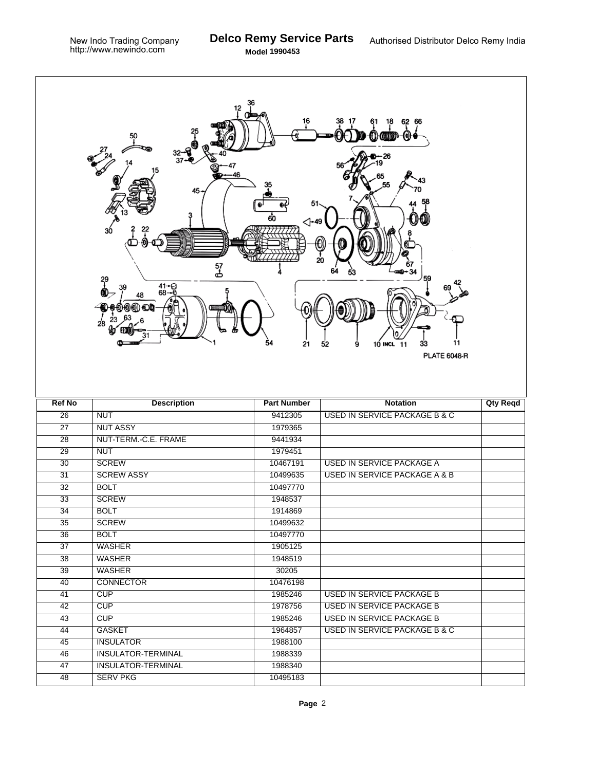٦

|                       | 12<br>25<br>50<br>$\frac{32}{37}$<br>46<br>45.<br>30<br>57<br>ക<br>29<br>$^{41-9}_{68-6}$<br>48<br>000 O<br>28 | 36<br>51<br>60<br>⊲-49<br>54<br>21 | 62 66<br>18<br>D-26<br>O<br>20<br>59<br>10 INCL 11<br>11<br>9<br>33<br>52<br><b>PLATE 6048-R</b> |                 |
|-----------------------|----------------------------------------------------------------------------------------------------------------|------------------------------------|--------------------------------------------------------------------------------------------------|-----------------|
| <b>Ref No</b>         | <b>Description</b>                                                                                             | <b>Part Number</b>                 | <b>Notation</b>                                                                                  | <b>Qty Reqd</b> |
| $\overline{26}$       | <b>NUT</b>                                                                                                     | 9412305                            | <b>USED IN SERVICE PACKAGE B &amp; C</b>                                                         |                 |
| $\overline{27}$       | <b>NUT ASSY</b>                                                                                                | 1979365                            |                                                                                                  |                 |
| $\overline{28}$       | NUT-TERM.-C.E. FRAME                                                                                           | 9441934                            |                                                                                                  |                 |
| $\overline{29}$       | <b>NUT</b>                                                                                                     | 1979451                            |                                                                                                  |                 |
| $\overline{30}$       | <b>SCREW</b>                                                                                                   | 10467191                           | USED IN SERVICE PACKAGE A                                                                        |                 |
| $\overline{31}$       | <b>SCREW ASSY</b>                                                                                              | 10499635                           | <b>USED IN SERVICE PACKAGE A &amp; B</b>                                                         |                 |
| $\overline{32}$       | <b>BOLT</b>                                                                                                    | 10497770                           |                                                                                                  |                 |
| 33                    | <b>SCREW</b>                                                                                                   | 1948537                            |                                                                                                  |                 |
| $\overline{34}$       | <b>BOLT</b>                                                                                                    | 1914869                            |                                                                                                  |                 |
| 35                    | <b>SCREW</b>                                                                                                   | 10499632                           |                                                                                                  |                 |
| 36                    | <b>BOLT</b>                                                                                                    | 10497770                           |                                                                                                  |                 |
| $\overline{37}$       | <b>WASHER</b>                                                                                                  | 1905125                            |                                                                                                  |                 |
| 38                    | <b>WASHER</b>                                                                                                  | 1948519                            |                                                                                                  |                 |
| 39                    | <b>WASHER</b>                                                                                                  | 30205                              |                                                                                                  |                 |
| 40                    | <b>CONNECTOR</b>                                                                                               | 10476198                           |                                                                                                  |                 |
| 41                    | CUP                                                                                                            | 1985246                            | <b>USED IN SERVICE PACKAGE B</b>                                                                 |                 |
| 42                    | CUP                                                                                                            | 1978756                            | USED IN SERVICE PACKAGE B                                                                        |                 |
| 43                    | CUP                                                                                                            | 1985246                            | <b>USED IN SERVICE PACKAGE B</b>                                                                 |                 |
| 44                    | <b>GASKET</b>                                                                                                  | 1964857                            | <b>USED IN SERVICE PACKAGE B &amp; C</b>                                                         |                 |
| 45                    | <b>INSULATOR</b>                                                                                               | 1988100                            |                                                                                                  |                 |
| 46                    |                                                                                                                |                                    |                                                                                                  |                 |
|                       | <b>INSULATOR-TERMINAL</b>                                                                                      | 1988339                            |                                                                                                  |                 |
| 47<br>$\overline{48}$ | <b>INSULATOR-TERMINAL</b><br><b>SERV PKG</b>                                                                   | 1988340<br>10495183                |                                                                                                  |                 |